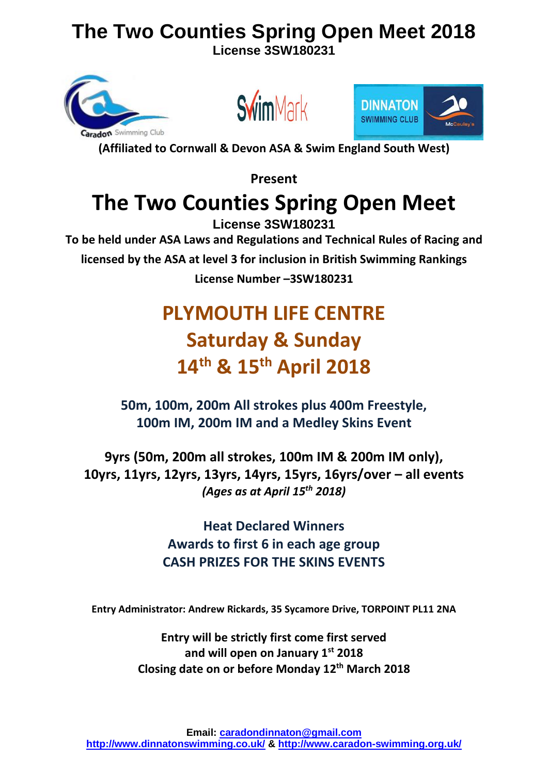**License 3SW180231**







**(Affiliated to Cornwall & Devon ASA & Swim England South West)**

**Present** 

## **The Two Counties Spring Open Meet**

**License 3SW180231 To be held under ASA Laws and Regulations and Technical Rules of Racing and licensed by the ASA at level 3 for inclusion in British Swimming Rankings License Number –3SW180231**

## **PLYMOUTH LIFE CENTRE Saturday & Sunday 14 th & 15 th April 2018**

**50m, 100m, 200m All strokes plus 400m Freestyle, 100m IM, 200m IM and a Medley Skins Event** 

**9yrs (50m, 200m all strokes, 100m IM & 200m IM only), 10yrs, 11yrs, 12yrs, 13yrs, 14yrs, 15yrs, 16yrs/over – all events** *(Ages as at April 15 th 2018)*

## **Heat Declared Winners Awards to first 6 in each age group CASH PRIZES FOR THE SKINS EVENTS**

**Entry Administrator: Andrew Rickards, 35 Sycamore Drive, TORPOINT PL11 2NA**

**Entry will be strictly first come first served and will open on January 1st 2018 Closing date on or before Monday 12 th March 2018**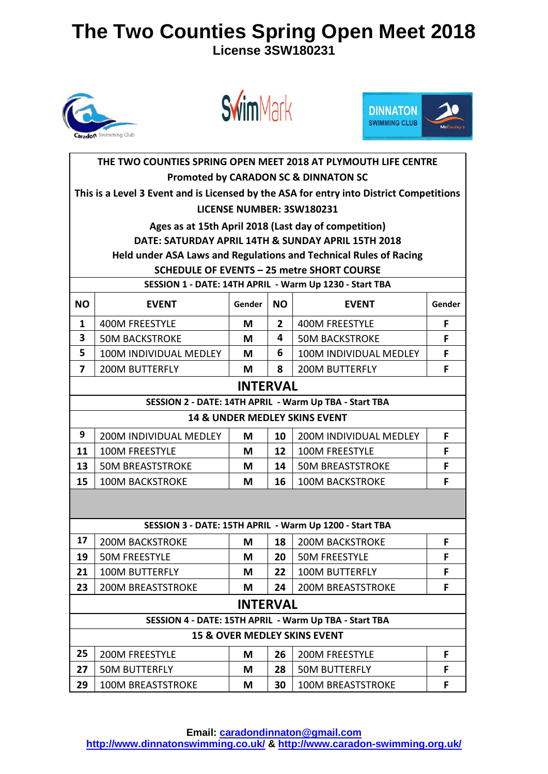**License 3SW180231**







|              |                                                                                         |                 |                   | THE TWO COUNTIES SPRING OPEN MEET 2018 AT PLYMOUTH LIFE CENTRE    |   |  |  |
|--------------|-----------------------------------------------------------------------------------------|-----------------|-------------------|-------------------------------------------------------------------|---|--|--|
|              |                                                                                         |                 |                   | <b>Promoted by CARADON SC &amp; DINNATON SC</b>                   |   |  |  |
|              | This is a Level 3 Event and is Licensed by the ASA for entry into District Competitions |                 |                   |                                                                   |   |  |  |
|              |                                                                                         |                 |                   | LICENSE NUMBER: 3SW180231                                         |   |  |  |
|              |                                                                                         |                 |                   | Ages as at 15th April 2018 (Last day of competition)              |   |  |  |
|              |                                                                                         |                 |                   | DATE: SATURDAY APRIL 14TH & SUNDAY APRIL 15TH 2018                |   |  |  |
|              |                                                                                         |                 |                   | Held under ASA Laws and Regulations and Technical Rules of Racing |   |  |  |
|              |                                                                                         |                 |                   | <b>SCHEDULE OF EVENTS - 25 metre SHORT COURSE</b>                 |   |  |  |
|              |                                                                                         |                 |                   | SESSION 1 - DATE: 14TH APRIL - Warm Up 1230 - Start TBA           |   |  |  |
| <b>NO</b>    | Gender<br><b>NO</b><br><b>EVENT</b><br><b>EVENT</b><br>Gender                           |                 |                   |                                                                   |   |  |  |
| $\mathbf{1}$ | 400M FREESTYLE                                                                          | М               | $\mathbf{2}$      | 400M FREESTYLE                                                    | F |  |  |
| 3            | <b>50M BACKSTROKE</b>                                                                   | М               | 4                 | <b>50M BACKSTROKE</b>                                             | F |  |  |
| 5            | 100M INDIVIDUAL MEDLEY                                                                  | М               | 6                 | 100M INDIVIDUAL MEDLEY                                            | F |  |  |
| 7            | <b>200M BUTTERFLY</b>                                                                   | M               | 8                 | <b>200M BUTTERFLY</b>                                             | F |  |  |
|              | <b>INTERVAL</b>                                                                         |                 |                   |                                                                   |   |  |  |
|              | SESSION 2 - DATE: 14TH APRIL - Warm Up TBA - Start TBA                                  |                 |                   |                                                                   |   |  |  |
|              |                                                                                         |                 |                   | 14 & UNDER MEDLEY SKINS EVENT                                     |   |  |  |
| 9            | 200M INDIVIDUAL MEDLEY                                                                  | M               | 10                | 200M INDIVIDUAL MEDLEY                                            | F |  |  |
| 11           | 100M FREESTYLE                                                                          | M               | $12 \overline{ }$ | 100M FREESTYLE                                                    | F |  |  |
| 13           | <b>50M BREASTSTROKE</b>                                                                 | M               | 14                | <b>50M BREASTSTROKE</b>                                           | F |  |  |
| 15           | <b>100M BACKSTROKE</b>                                                                  | M               | 16                | <b>100M BACKSTROKE</b>                                            | F |  |  |
|              |                                                                                         |                 |                   |                                                                   |   |  |  |
|              |                                                                                         |                 |                   |                                                                   |   |  |  |
|              |                                                                                         |                 |                   | SESSION 3 - DATE: 15TH APRIL - Warm Up 1200 - Start TBA           |   |  |  |
| 17           | <b>200M BACKSTROKE</b>                                                                  | М               | 18                | <b>200M BACKSTROKE</b>                                            | F |  |  |
| 19           | <b>50M FREESTYLE</b>                                                                    | М               | 20                | <b>50M FREESTYLE</b>                                              | F |  |  |
| 21           | <b>100M BUTTERFLY</b>                                                                   | M               | 22                | <b>100M BUTTERFLY</b>                                             | F |  |  |
| 23           | <b>200M BREASTSTROKE</b>                                                                | M               | 24                | <b>200M BREASTSTROKE</b>                                          | F |  |  |
|              |                                                                                         | <b>INTERVAL</b> |                   |                                                                   |   |  |  |
|              |                                                                                         |                 |                   | SESSION 4 - DATE: 15TH APRIL - Warm Up TBA - Start TBA            |   |  |  |
|              |                                                                                         |                 |                   | 15 & OVER MEDLEY SKINS EVENT                                      |   |  |  |
| 25           | <b>200M FREESTYLE</b>                                                                   | M               | 26                | <b>200M FREESTYLE</b>                                             | F |  |  |
| 27           | <b>50M BUTTERFLY</b>                                                                    | M               | 28                | <b>50M BUTTERFLY</b>                                              | F |  |  |
| 29           | <b>100M BREASTSTROKE</b>                                                                | M               | 30                | <b>100M BREASTSTROKE</b>                                          | F |  |  |

**Email: [caradondinnaton@gmail.com](mailto:caradondinnaton@gmail.com)**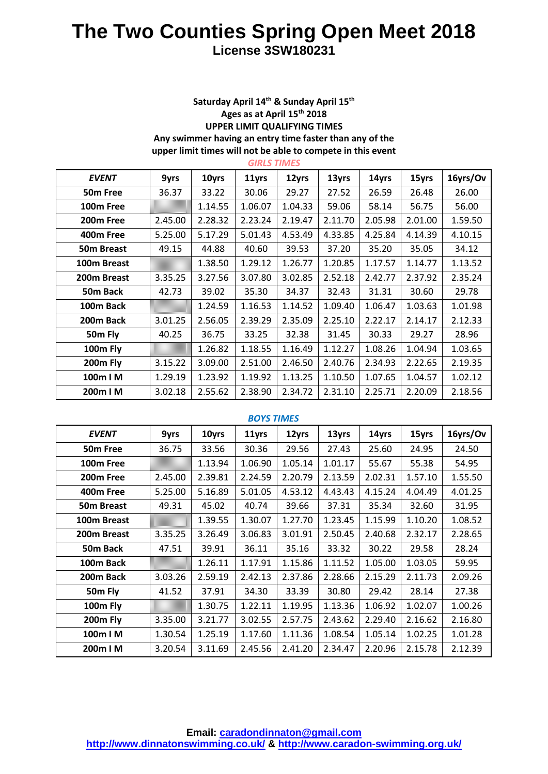#### **Saturday April 14th & Sunday April 15 th Ages as at April 15th 2018 UPPER LIMIT QUALIFYING TIMES Any swimmer having an entry time faster than any of the upper limit times will not be able to compete in this event**

| <b>GIRLS TIMES</b>    |         |         |         |         |         |         |         |          |
|-----------------------|---------|---------|---------|---------|---------|---------|---------|----------|
| <b>EVENT</b>          | 9yrs    | 10yrs   | 11yrs   | 12yrs   | 13yrs   | 14yrs   | 15yrs   | 16yrs/Ov |
| 50 <sub>m</sub> Free  | 36.37   | 33.22   | 30.06   | 29.27   | 27.52   | 26.59   | 26.48   | 26.00    |
| 100m Free             |         | 1.14.55 | 1.06.07 | 1.04.33 | 59.06   | 58.14   | 56.75   | 56.00    |
| 200 <sub>m</sub> Free | 2.45.00 | 2.28.32 | 2.23.24 | 2.19.47 | 2.11.70 | 2.05.98 | 2.01.00 | 1.59.50  |
| 400m Free             | 5.25.00 | 5.17.29 | 5.01.43 | 4.53.49 | 4.33.85 | 4.25.84 | 4.14.39 | 4.10.15  |
| <b>50m Breast</b>     | 49.15   | 44.88   | 40.60   | 39.53   | 37.20   | 35.20   | 35.05   | 34.12    |
| 100m Breast           |         | 1.38.50 | 1.29.12 | 1.26.77 | 1.20.85 | 1.17.57 | 1.14.77 | 1.13.52  |
| 200m Breast           | 3.35.25 | 3.27.56 | 3.07.80 | 3.02.85 | 2.52.18 | 2.42.77 | 2.37.92 | 2.35.24  |
| 50m Back              | 42.73   | 39.02   | 35.30   | 34.37   | 32.43   | 31.31   | 30.60   | 29.78    |
| 100m Back             |         | 1.24.59 | 1.16.53 | 1.14.52 | 1.09.40 | 1.06.47 | 1.03.63 | 1.01.98  |
| 200m Back             | 3.01.25 | 2.56.05 | 2.39.29 | 2.35.09 | 2.25.10 | 2.22.17 | 2.14.17 | 2.12.33  |
| 50m Fly               | 40.25   | 36.75   | 33.25   | 32.38   | 31.45   | 30.33   | 29.27   | 28.96    |
| 100m Fly              |         | 1.26.82 | 1.18.55 | 1.16.49 | 1.12.27 | 1.08.26 | 1.04.94 | 1.03.65  |
| 200m Fly              | 3.15.22 | 3.09.00 | 2.51.00 | 2.46.50 | 2.40.76 | 2.34.93 | 2.22.65 | 2.19.35  |
| 100m I M              | 1.29.19 | 1.23.92 | 1.19.92 | 1.13.25 | 1.10.50 | 1.07.65 | 1.04.57 | 1.02.12  |
| 200m I M              | 3.02.18 | 2.55.62 | 2.38.90 | 2.34.72 | 2.31.10 | 2.25.71 | 2.20.09 | 2.18.56  |

#### *BOYS TIMES*

| <b>EVENT</b>          | 9yrs    | 10yrs   | 11yrs   | 12yrs   | 13yrs   | 14yrs   | 15yrs   | 16yrs/Ov |
|-----------------------|---------|---------|---------|---------|---------|---------|---------|----------|
| 50 <sub>m</sub> Free  | 36.75   | 33.56   | 30.36   | 29.56   | 27.43   | 25.60   | 24.95   | 24.50    |
| 100 <sub>m</sub> Free |         | 1.13.94 | 1.06.90 | 1.05.14 | 1.01.17 | 55.67   | 55.38   | 54.95    |
| 200m Free             | 2.45.00 | 2.39.81 | 2.24.59 | 2.20.79 | 2.13.59 | 2.02.31 | 1.57.10 | 1.55.50  |
| 400m Free             | 5.25.00 | 5.16.89 | 5.01.05 | 4.53.12 | 4.43.43 | 4.15.24 | 4.04.49 | 4.01.25  |
| 50m Breast            | 49.31   | 45.02   | 40.74   | 39.66   | 37.31   | 35.34   | 32.60   | 31.95    |
| 100m Breast           |         | 1.39.55 | 1.30.07 | 1.27.70 | 1.23.45 | 1.15.99 | 1.10.20 | 1.08.52  |
| 200m Breast           | 3.35.25 | 3.26.49 | 3.06.83 | 3.01.91 | 2.50.45 | 2.40.68 | 2.32.17 | 2.28.65  |
| 50m Back              | 47.51   | 39.91   | 36.11   | 35.16   | 33.32   | 30.22   | 29.58   | 28.24    |
| 100m Back             |         | 1.26.11 | 1.17.91 | 1.15.86 | 1.11.52 | 1.05.00 | 1.03.05 | 59.95    |
| 200m Back             | 3.03.26 | 2.59.19 | 2.42.13 | 2.37.86 | 2.28.66 | 2.15.29 | 2.11.73 | 2.09.26  |
| 50m Fly               | 41.52   | 37.91   | 34.30   | 33.39   | 30.80   | 29.42   | 28.14   | 27.38    |
| 100m Fly              |         | 1.30.75 | 1.22.11 | 1.19.95 | 1.13.36 | 1.06.92 | 1.02.07 | 1.00.26  |
| 200m Fly              | 3.35.00 | 3.21.77 | 3.02.55 | 2.57.75 | 2.43.62 | 2.29.40 | 2.16.62 | 2.16.80  |
| 100m I M              | 1.30.54 | 1.25.19 | 1.17.60 | 1.11.36 | 1.08.54 | 1.05.14 | 1.02.25 | 1.01.28  |
| 200m I M              | 3.20.54 | 3.11.69 | 2.45.56 | 2.41.20 | 2.34.47 | 2.20.96 | 2.15.78 | 2.12.39  |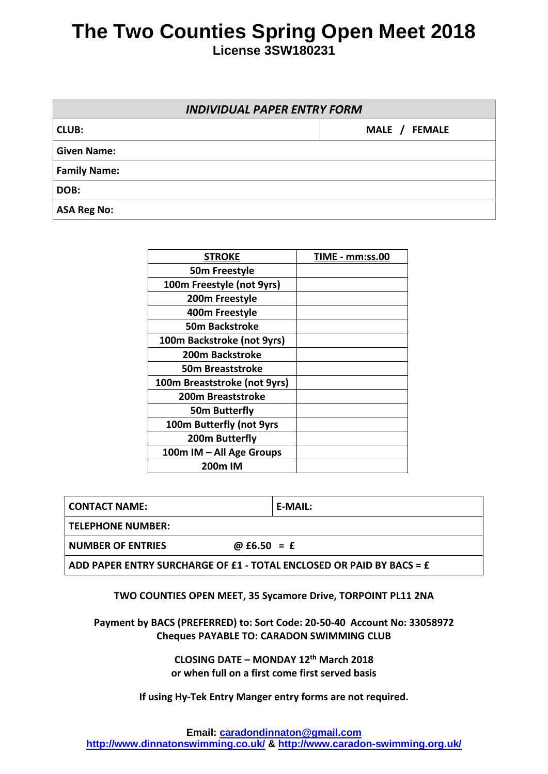**License 3SW180231**

| <b>INDIVIDUAL PAPER ENTRY FORM</b> |               |  |  |  |
|------------------------------------|---------------|--|--|--|
| <b>CLUB:</b>                       | MALE / FEMALE |  |  |  |
| <b>Given Name:</b>                 |               |  |  |  |
| <b>Family Name:</b>                |               |  |  |  |
| DOB:                               |               |  |  |  |
| <b>ASA Reg No:</b>                 |               |  |  |  |

| <b>STROKE</b>                | <b>TIME - mm:ss.00</b> |
|------------------------------|------------------------|
| 50m Freestyle                |                        |
| 100m Freestyle (not 9yrs)    |                        |
| 200m Freestyle               |                        |
| 400m Freestyle               |                        |
| 50m Backstroke               |                        |
| 100m Backstroke (not 9yrs)   |                        |
| <b>200m Backstroke</b>       |                        |
| 50m Breaststroke             |                        |
| 100m Breaststroke (not 9yrs) |                        |
| 200m Breaststroke            |                        |
| <b>50m Butterfly</b>         |                        |
| 100m Butterfly (not 9yrs     |                        |
| 200m Butterfly               |                        |
| 100m IM - All Age Groups     |                        |
| 200m IM                      |                        |

| I CONTACT NAME:                                                                                              | E-MAIL: |
|--------------------------------------------------------------------------------------------------------------|---------|
| l TELEPHONE NUMBER: I                                                                                        |         |
| I NUMBER OF ENTRIES<br>@ $£6.50 = £$                                                                         |         |
| ADD PAPER ENTRY SURCHARGE OF £1 - TOTAL ENCLOSED OR PAID BY BACS = $\boldsymbol{\mathrm{\mathbf{\epsilon}}}$ |         |

#### **TWO COUNTIES OPEN MEET, 35 Sycamore Drive, TORPOINT PL11 2NA**

**Payment by BACS (PREFERRED) to: Sort Code: 20-50-40 Account No: 33058972 Cheques PAYABLE TO: CARADON SWIMMING CLUB**

> **CLOSING DATE – MONDAY 12th March 2018 or when full on a first come first served basis**

**If using Hy-Tek Entry Manger entry forms are not required.**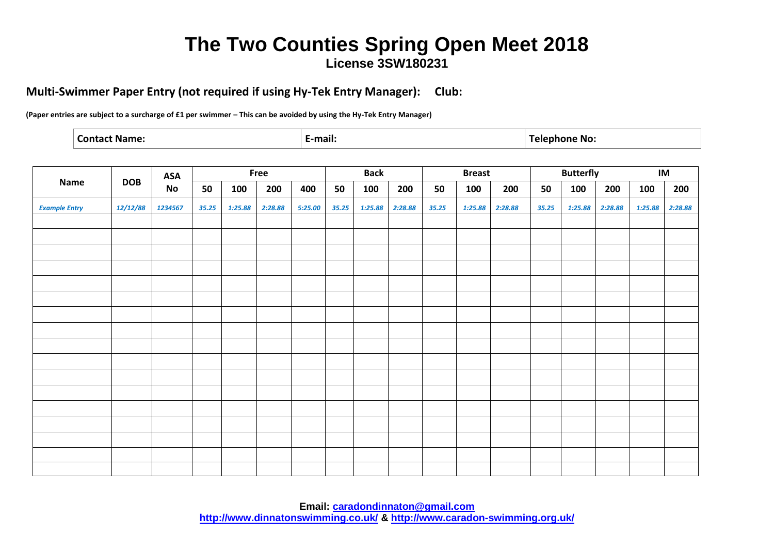#### **Multi-Swimmer Paper Entry (not required if using Hy-Tek Entry Manager): Club:**

**(Paper entries are subject to a surcharge of £1 per swimmer – This can be avoided by using the Hy-Tek Entry Manager)**

|  | ----<br>·mail: |  |
|--|----------------|--|
|--|----------------|--|

|                      |            | <b>ASA</b> |       |         | Free    |         |       | <b>Back</b> |         |       | <b>Breast</b> |         |       | <b>Butterfly</b> |         | IM      |         |
|----------------------|------------|------------|-------|---------|---------|---------|-------|-------------|---------|-------|---------------|---------|-------|------------------|---------|---------|---------|
| <b>Name</b>          | <b>DOB</b> | No         | 50    | 100     | 200     | 400     | 50    | 100         | 200     | 50    | 100           | 200     | 50    | 100              | 200     | 100     | 200     |
| <b>Example Entry</b> | 12/12/88   | 1234567    | 35.25 | 1:25.88 | 2:28.88 | 5:25.00 | 35.25 | 1:25.88     | 2:28.88 | 35.25 | 1:25.88       | 2:28.88 | 35.25 | 1:25.88          | 2:28.88 | 1:25.88 | 2:28.88 |
|                      |            |            |       |         |         |         |       |             |         |       |               |         |       |                  |         |         |         |
|                      |            |            |       |         |         |         |       |             |         |       |               |         |       |                  |         |         |         |
|                      |            |            |       |         |         |         |       |             |         |       |               |         |       |                  |         |         |         |
|                      |            |            |       |         |         |         |       |             |         |       |               |         |       |                  |         |         |         |
|                      |            |            |       |         |         |         |       |             |         |       |               |         |       |                  |         |         |         |
|                      |            |            |       |         |         |         |       |             |         |       |               |         |       |                  |         |         |         |
|                      |            |            |       |         |         |         |       |             |         |       |               |         |       |                  |         |         |         |
|                      |            |            |       |         |         |         |       |             |         |       |               |         |       |                  |         |         |         |
|                      |            |            |       |         |         |         |       |             |         |       |               |         |       |                  |         |         |         |
|                      |            |            |       |         |         |         |       |             |         |       |               |         |       |                  |         |         |         |
|                      |            |            |       |         |         |         |       |             |         |       |               |         |       |                  |         |         |         |
|                      |            |            |       |         |         |         |       |             |         |       |               |         |       |                  |         |         |         |
|                      |            |            |       |         |         |         |       |             |         |       |               |         |       |                  |         |         |         |
|                      |            |            |       |         |         |         |       |             |         |       |               |         |       |                  |         |         |         |
|                      |            |            |       |         |         |         |       |             |         |       |               |         |       |                  |         |         |         |
|                      |            |            |       |         |         |         |       |             |         |       |               |         |       |                  |         |         |         |
|                      |            |            |       |         |         |         |       |             |         |       |               |         |       |                  |         |         |         |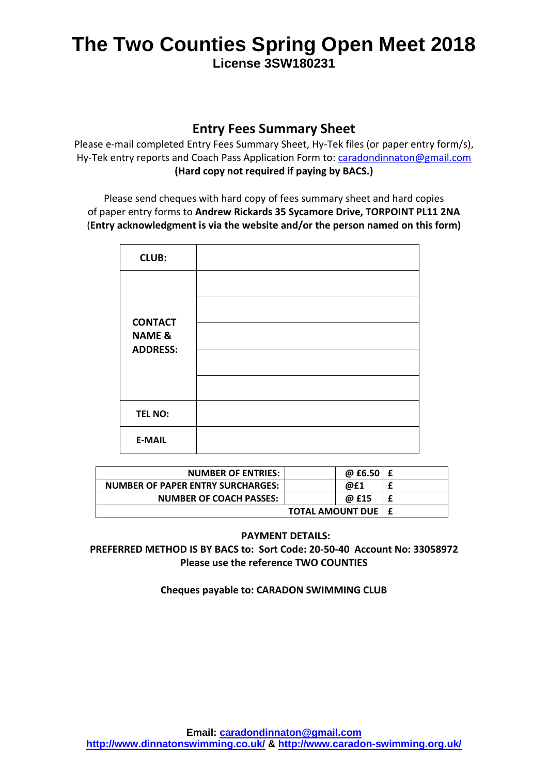#### **Entry Fees Summary Sheet**

Please e-mail completed Entry Fees Summary Sheet, Hy-Tek files (or paper entry form/s), Hy-Tek entry reports and Coach Pass Application Form to: [caradondinnaton@gmail.com](mailto:caradondinnaton@gmail.com) **(Hard copy not required if paying by BACS.)**

Please send cheques with hard copy of fees summary sheet and hard copies of paper entry forms to **Andrew Rickards 35 Sycamore Drive, TORPOINT PL11 2NA** (**Entry acknowledgment is via the website and/or the person named on this form)**

| <b>CLUB:</b>                        |  |
|-------------------------------------|--|
|                                     |  |
|                                     |  |
| <b>CONTACT</b><br><b>NAME &amp;</b> |  |
| <b>ADDRESS:</b>                     |  |
|                                     |  |
| <b>TEL NO:</b>                      |  |
| <b>E-MAIL</b>                       |  |

| <b>NUMBER OF ENTRIES:</b>         | @ $£6.50 \, \, E$           |   |
|-----------------------------------|-----------------------------|---|
| NUMBER OF PAPER ENTRY SURCHARGES: | @£1                         |   |
| <b>NUMBER OF COACH PASSES:</b>    | @ £15                       | £ |
|                                   | <b>TOTAL AMOUNT DUE   £</b> |   |

#### **PAYMENT DETAILS:**

#### **PREFERRED METHOD IS BY BACS to: Sort Code: 20-50-40 Account No: 33058972 Please use the reference TWO COUNTIES**

#### **Cheques payable to: CARADON SWIMMING CLUB**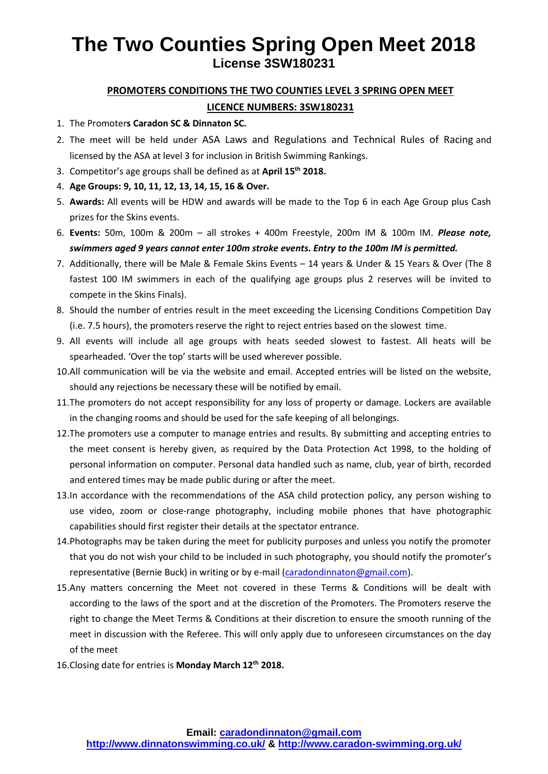#### **PROMOTERS CONDITIONS THE TWO COUNTIES LEVEL 3 SPRING OPEN MEET**

#### **LICENCE NUMBERS: 3SW180231**

- 1. The Promoter**s Caradon SC & Dinnaton SC.**
- 2. The meet will be held under ASA Laws and Regulations and Technical Rules of Racing and licensed by the ASA at level 3 for inclusion in British Swimming Rankings.
- 3. Competitor's age groups shall be defined as at **April 15 th 2018.**
- 4. **Age Groups: 9, 10, 11, 12, 13, 14, 15, 16 & Over.**
- 5. **Awards:** All events will be HDW and awards will be made to the Top 6 in each Age Group plus Cash prizes for the Skins events.
- 6. **Events:** 50m, 100m & 200m all strokes + 400m Freestyle, 200m IM & 100m IM. *Please note, swimmers aged 9 years cannot enter 100m stroke events. Entry to the 100m IM is permitted.*
- 7. Additionally, there will be Male & Female Skins Events 14 years & Under & 15 Years & Over (The 8 fastest 100 IM swimmers in each of the qualifying age groups plus 2 reserves will be invited to compete in the Skins Finals).
- 8. Should the number of entries result in the meet exceeding the Licensing Conditions Competition Day (i.e. 7.5 hours), the promoters reserve the right to reject entries based on the slowest time.
- 9. All events will include all age groups with heats seeded slowest to fastest. All heats will be spearheaded. 'Over the top' starts will be used wherever possible.
- 10.All communication will be via the website and email. Accepted entries will be listed on the website, should any rejections be necessary these will be notified by email.
- 11.The promoters do not accept responsibility for any loss of property or damage. Lockers are available in the changing rooms and should be used for the safe keeping of all belongings.
- 12.The promoters use a computer to manage entries and results. By submitting and accepting entries to the meet consent is hereby given, as required by the Data Protection Act 1998, to the holding of personal information on computer. Personal data handled such as name, club, year of birth, recorded and entered times may be made public during or after the meet.
- 13.In accordance with the recommendations of the ASA child protection policy, any person wishing to use video, zoom or close-range photography, including mobile phones that have photographic capabilities should first register their details at the spectator entrance.
- 14.Photographs may be taken during the meet for publicity purposes and unless you notify the promoter that you do not wish your child to be included in such photography, you should notify the promoter's representative (Bernie Buck) in writing or by e-mail [\(caradondinnaton@gmail.com\)](mailto:caradondinnaton@gmail.com).
- 15.Any matters concerning the Meet not covered in these Terms & Conditions will be dealt with according to the laws of the sport and at the discretion of the Promoters. The Promoters reserve the right to change the Meet Terms & Conditions at their discretion to ensure the smooth running of the meet in discussion with the Referee. This will only apply due to unforeseen circumstances on the day of the meet
- 16.Closing date for entries is **Monday March 12 th 2018.**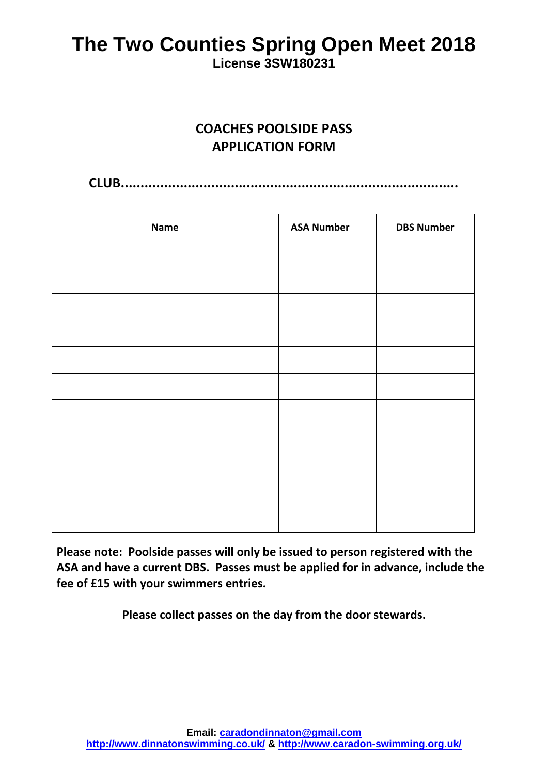**License 3SW180231**

## **COACHES POOLSIDE PASS APPLICATION FORM**

**CLUB......................................................................................**

| <b>Name</b> | <b>ASA Number</b> | <b>DBS Number</b> |
|-------------|-------------------|-------------------|
|             |                   |                   |
|             |                   |                   |
|             |                   |                   |
|             |                   |                   |
|             |                   |                   |
|             |                   |                   |
|             |                   |                   |
|             |                   |                   |
|             |                   |                   |
|             |                   |                   |
|             |                   |                   |

**Please note: Poolside passes will only be issued to person registered with the ASA and have a current DBS. Passes must be applied for in advance, include the fee of £15 with your swimmers entries.** 

**Please collect passes on the day from the door stewards.**